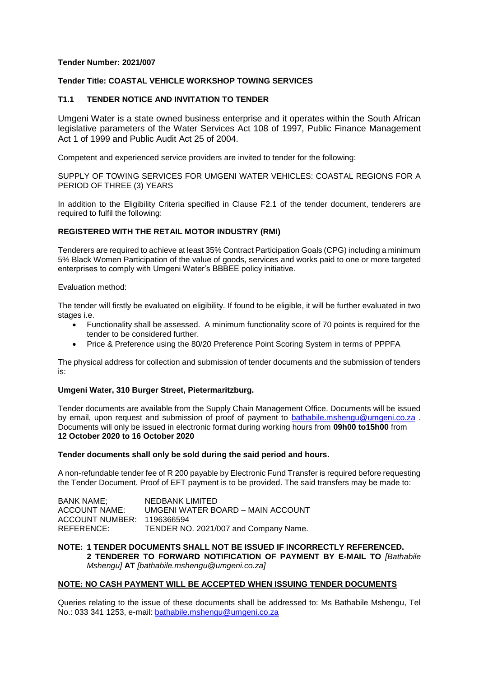## **Tender Number: 2021/007**

## **Tender Title: COASTAL VEHICLE WORKSHOP TOWING SERVICES**

## **T1.1 TENDER NOTICE AND INVITATION TO TENDER**

Umgeni Water is a state owned business enterprise and it operates within the South African legislative parameters of the Water Services Act 108 of 1997, Public Finance Management Act 1 of 1999 and Public Audit Act 25 of 2004.

Competent and experienced service providers are invited to tender for the following:

SUPPLY OF TOWING SERVICES FOR UMGENI WATER VEHICLES: COASTAL REGIONS FOR A PERIOD OF THREE (3) YEARS

In addition to the Eligibility Criteria specified in Clause F2.1 of the tender document, tenderers are required to fulfil the following:

## **REGISTERED WITH THE RETAIL MOTOR INDUSTRY (RMI)**

Tenderers are required to achieve at least 35% Contract Participation Goals (CPG) including a minimum 5% Black Women Participation of the value of goods, services and works paid to one or more targeted enterprises to comply with Umgeni Water's BBBEE policy initiative.

Evaluation method:

The tender will firstly be evaluated on eligibility. If found to be eligible, it will be further evaluated in two stages i.e.

- Functionality shall be assessed. A minimum functionality score of 70 points is required for the tender to be considered further.
- Price & Preference using the 80/20 Preference Point Scoring System in terms of PPPFA

The physical address for collection and submission of tender documents and the submission of tenders is:

### **Umgeni Water, 310 Burger Street, Pietermaritzburg.**

Tender documents are available from the Supply Chain Management Office. Documents will be issued by email, upon request and submission of proof of payment to [bathabile.mshengu@umgeni.co.za](mailto:bathabile.mshengu@umgeni.co.za) . Documents will only be issued in electronic format during working hours from **09h00 to15h00** from **12 October 2020 to 16 October 2020**

# **Tender documents shall only be sold during the said period and hours.**

A non-refundable tender fee of R 200 payable by Electronic Fund Transfer is required before requesting the Tender Document. Proof of EFT payment is to be provided. The said transfers may be made to:

| BANK NAME;                 | NEDBANK LIMITED                       |
|----------------------------|---------------------------------------|
| ACCOUNT NAME:              | UMGENI WATER BOARD - MAIN ACCOUNT     |
| ACCOUNT NUMBER: 1196366594 |                                       |
| REFERENCE:                 | TENDER NO. 2021/007 and Company Name. |

**NOTE: 1 TENDER DOCUMENTS SHALL NOT BE ISSUED IF INCORRECTLY REFERENCED. 2 TENDERER TO FORWARD NOTIFICATION OF PAYMENT BY E-MAIL TO** *[Bathabile Mshengu]* **AT** *[bathabile.mshengu@umgeni.co.za]*

### **NOTE: NO CASH PAYMENT WILL BE ACCEPTED WHEN ISSUING TENDER DOCUMENTS**

Queries relating to the issue of these documents shall be addressed to: Ms Bathabile Mshengu, Tel No.: 033 341 1253, e-mail: [bathabile.mshengu@umgeni.co.za](mailto:bathabile.mshengu@umgeni.co.za)